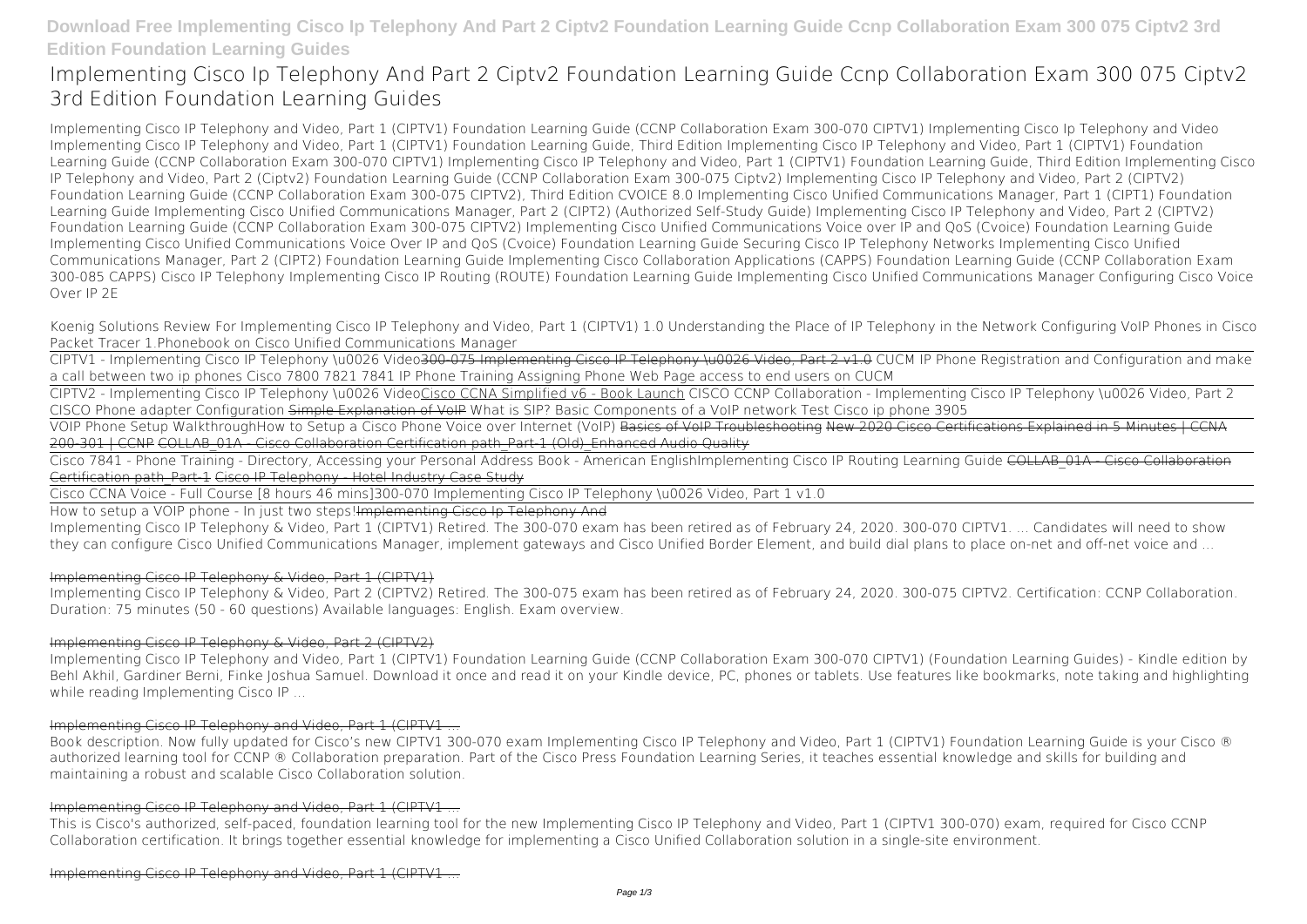# **Download Free Implementing Cisco Ip Telephony And Part 2 Ciptv2 Foundation Learning Guide Ccnp Collaboration Exam 300 075 Ciptv2 3rd Edition Foundation Learning Guides**

# **Implementing Cisco Ip Telephony And Part 2 Ciptv2 Foundation Learning Guide Ccnp Collaboration Exam 300 075 Ciptv2 3rd Edition Foundation Learning Guides**

Implementing Cisco IP Telephony and Video, Part 1 (CIPTV1) Foundation Learning Guide (CCNP Collaboration Exam 300-070 CIPTV1) Implementing Cisco Ip Telephony and Video Implementing Cisco IP Telephony and Video, Part 1 (CIPTV1) Foundation Learning Guide, Third Edition Implementing Cisco IP Telephony and Video, Part 1 (CIPTV1) Foundation Learning Guide (CCNP Collaboration Exam 300-070 CIPTV1) Implementing Cisco IP Telephony and Video, Part 1 (CIPTV1) Foundation Learning Guide, Third Edition Implementing Cisco IP Telephony and Video, Part 2 (Ciptv2) Foundation Learning Guide (CCNP Collaboration Exam 300-075 Ciptv2) Implementing Cisco IP Telephony and Video, Part 2 (CIPTV2) Foundation Learning Guide (CCNP Collaboration Exam 300-075 CIPTV2), Third Edition CVOICE 8.0 Implementing Cisco Unified Communications Manager, Part 1 (CIPT1) Foundation Learning Guide Implementing Cisco Unified Communications Manager, Part 2 (CIPT2) (Authorized Self-Study Guide) Implementing Cisco IP Telephony and Video, Part 2 (CIPTV2) Foundation Learning Guide (CCNP Collaboration Exam 300-075 CIPTV2) Implementing Cisco Unified Communications Voice over IP and QoS (Cvoice) Foundation Learning Guide Implementing Cisco Unified Communications Voice Over IP and QoS (Cvoice) Foundation Learning Guide Securing Cisco IP Telephony Networks Implementing Cisco Unified Communications Manager, Part 2 (CIPT2) Foundation Learning Guide Implementing Cisco Collaboration Applications (CAPPS) Foundation Learning Guide (CCNP Collaboration Exam 300-085 CAPPS) Cisco IP Telephony Implementing Cisco IP Routing (ROUTE) Foundation Learning Guide Implementing Cisco Unified Communications Manager Configuring Cisco Voice Over IP 2E

VOIP Phone Setup Walkthrough*How to Setup a Cisco Phone* Voice over Internet (VoIP) Basics of VoIP Troubleshooting New 2020 Cisco Certifications Explained in 5 Minutes | CCNA 200-301 | CCNP COLLAB-01A - Cisco Collaboration Certification path-Part-1 (Old) Enhanced Audio Quality

Cisco 7841 - Phone Training - Directory, Accessing your Personal Address Book - American English*Implementing Cisco IP Routing Learning Guide* COLLAB\_01A - Cisco Collaboration Certification path Part 1 Cisco IP Telephony - Hotel Industry Case Study

Koenig Solutions Review For Implementing Cisco IP Telephony and Video, Part 1 (CIPTV1) 1.0 Understanding the Place of IP Telephony in the Network *Configuring VoIP Phones in Cisco Packet Tracer* 1.Phonebook on Cisco Unified Communications Manager

CIPTV1 - Implementing Cisco IP Telephony \u0026 Video300-075 Implementing Cisco IP Telephony \u0026 Video, Part 2 v1.0 *CUCM IP Phone Registration and Configuration and make a call between two ip phones* **Cisco 7800 7821 7841 IP Phone Training** *Assigning Phone Web Page access to end users on CUCM*

CIPTV2 - Implementing Cisco IP Telephony \u0026 VideoCisco CCNA Simplified v6 - Book Launch CISCO CCNP Collaboration - Implementing Cisco IP Telephony \u0026 Video, Part 2 CISCO Phone adapter Configuration Simple Explanation of VoIP What is SIP? *Basic Components of a VoIP network Test Cisco ip phone 3905*

Cisco CCNA Voice - Full Course [8 hours 46 mins]**300-070 Implementing Cisco IP Telephony \u0026 Video, Part 1 v1.0**

How to setup a VOIP phone - In just two steps! Implementing Cisco Ip Telephony And

Implementing Cisco IP Telephony & Video, Part 1 (CIPTV1) Retired. The 300-070 exam has been retired as of February 24, 2020. 300-070 CIPTV1. ... Candidates will need to show they can configure Cisco Unified Communications Manager, implement gateways and Cisco Unified Border Element, and build dial plans to place on-net and off-net voice and ...

### Implementing Cisco IP Telephony & Video, Part 1 (CIPTV1)

Implementing Cisco IP Telephony & Video, Part 2 (CIPTV2) Retired. The 300-075 exam has been retired as of February 24, 2020. 300-075 CIPTV2. Certification: CCNP Collaboration. Duration: 75 minutes (50 - 60 questions) Available languages: English. Exam overview.

#### Implementing Cisco IP Telephony & Video, Part 2 (CIPTV2)

Implementing Cisco IP Telephony and Video, Part 1 (CIPTV1) Foundation Learning Guide (CCNP Collaboration Exam 300-070 CIPTV1) (Foundation Learning Guides) - Kindle edition by Behl Akhil, Gardiner Berni, Finke Joshua Samuel. Download it once and read it on your Kindle device, PC, phones or tablets. Use features like bookmarks, note taking and highlighting while reading Implementing Cisco IP ...

#### Implementing Cisco IP Telephony and Video, Part 1 (CIPTV1 ...

Book description. Now fully updated for Cisco's new CIPTV1 300-070 exam Implementing Cisco IP Telephony and Video, Part 1 (CIPTV1) Foundation Learning Guide is your Cisco ® authorized learning tool for CCNP ® Collaboration preparation. Part of the Cisco Press Foundation Learning Series, it teaches essential knowledge and skills for building and maintaining a robust and scalable Cisco Collaboration solution.

#### Implementing Cisco IP Telephony and Video, Part 1 (CIPTV1 ...

This is Cisco's authorized, self-paced, foundation learning tool for the new Implementing Cisco IP Telephony and Video, Part 1 (CIPTV1 300-070) exam, required for Cisco CCNP Collaboration certification. It brings together essential knowledge for implementing a Cisco Unified Collaboration solution in a single-site environment.

Implementing Cisco IP Telephony and Video, Part 1 (CIPTV1 ...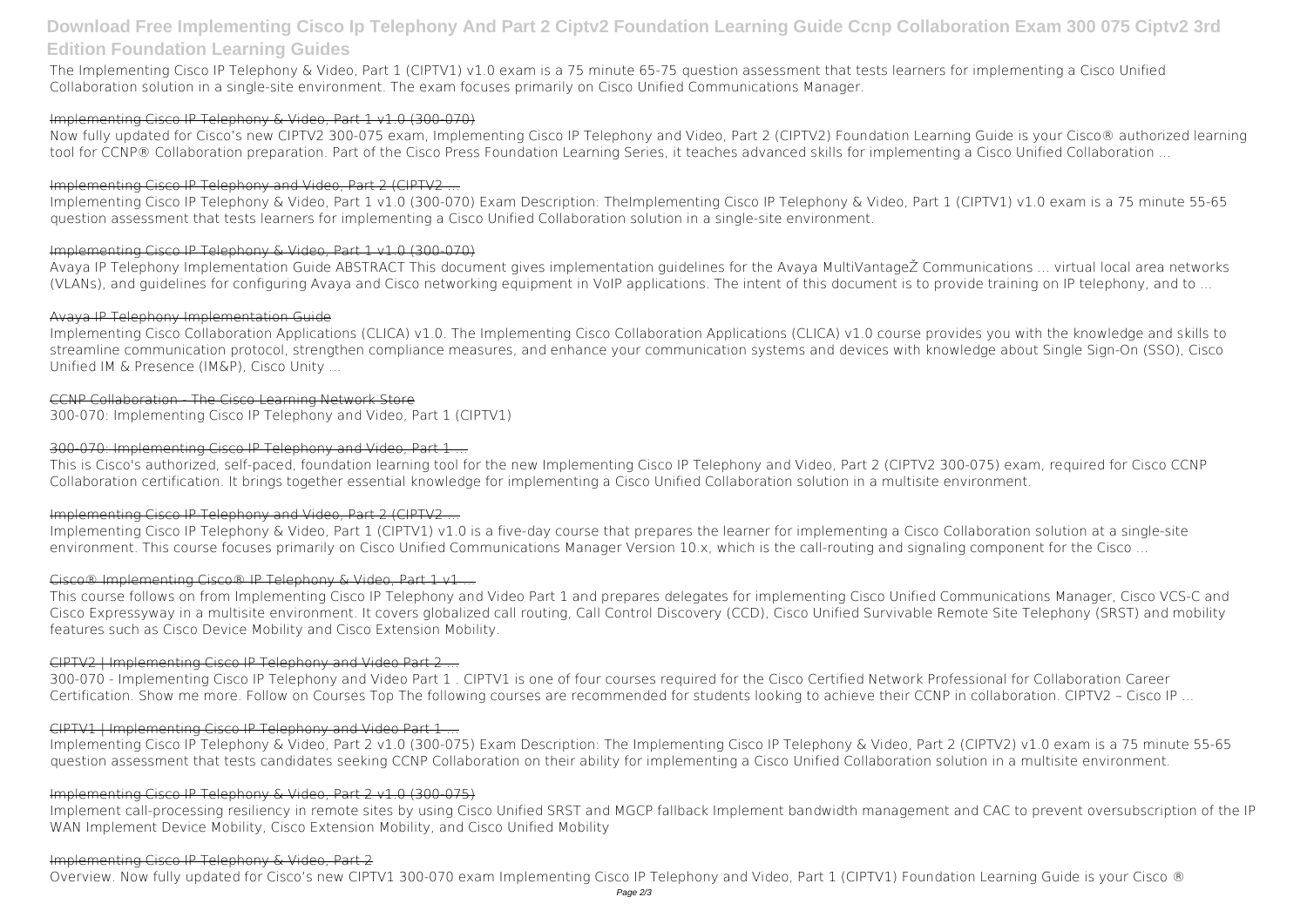## **Download Free Implementing Cisco Ip Telephony And Part 2 Ciptv2 Foundation Learning Guide Ccnp Collaboration Exam 300 075 Ciptv2 3rd Edition Foundation Learning Guides**

The Implementing Cisco IP Telephony & Video, Part 1 (CIPTV1) v1.0 exam is a 75 minute 65-75 question assessment that tests learners for implementing a Cisco Unified Collaboration solution in a single-site environment. The exam focuses primarily on Cisco Unified Communications Manager.

#### Implementing Cisco IP Telephony & Video, Part 1 v1.0 (300-070)

Now fully updated for Cisco's new CIPTV2 300-075 exam, Implementing Cisco IP Telephony and Video, Part 2 (CIPTV2) Foundation Learning Guide is your Cisco® authorized learning tool for CCNP® Collaboration preparation. Part of the Cisco Press Foundation Learning Series, it teaches advanced skills for implementing a Cisco Unified Collaboration ...

#### Implementing Cisco IP Telephony and Video, Part 2 (CIPTV2 ...

Implementing Cisco IP Telephony & Video, Part 1 v1.0 (300-070) Exam Description: TheImplementing Cisco IP Telephony & Video, Part 1 (CIPTV1) v1.0 exam is a 75 minute 55-65 question assessment that tests learners for implementing a Cisco Unified Collaboration solution in a single-site environment.

#### Implementing Cisco IP Telephony & Video, Part 1 v1.0 (300-070)

Avaya IP Telephony Implementation Guide ABSTRACT This document gives implementation guidelines for the Avaya MultiVantageŽ Communications ... virtual local area networks (VLANs), and guidelines for configuring Avaya and Cisco networking equipment in VoIP applications. The intent of this document is to provide training on IP telephony, and to ...

#### Avaya IP Telephony Implementation Guide

Implementing Cisco Collaboration Applications (CLICA) v1.0. The Implementing Cisco Collaboration Applications (CLICA) v1.0 course provides you with the knowledge and skills to streamline communication protocol, strengthen compliance measures, and enhance your communication systems and devices with knowledge about Single Sign-On (SSO), Cisco Unified IM & Presence (IM&P), Cisco Unity ...

#### CCNP Collaboration - The Cisco Learning Network Store

300-070: Implementing Cisco IP Telephony and Video, Part 1 (CIPTV1)

#### 300-070: Implementing Cisco IP Telephony and Video, Part 1...

This is Cisco's authorized, self-paced, foundation learning tool for the new Implementing Cisco IP Telephony and Video, Part 2 (CIPTV2 300-075) exam, required for Cisco CCNP Collaboration certification. It brings together essential knowledge for implementing a Cisco Unified Collaboration solution in a multisite environment.

### Implementing Cisco IP Telephony and Video, Part 2 (CIPTV2 ...

Implementing Cisco IP Telephony & Video, Part 1 (CIPTV1) v1.0 is a five-day course that prepares the learner for implementing a Cisco Collaboration solution at a single-site environment. This course focuses primarily on Cisco Unified Communications Manager Version 10.x, which is the call-routing and signaling component for the Cisco ...

### Cisco® Implementing Cisco® IP Telephony & Video, Part 1 v1...

This course follows on from Implementing Cisco IP Telephony and Video Part 1 and prepares delegates for implementing Cisco Unified Communications Manager, Cisco VCS-C and Cisco Expressyway in a multisite environment. It covers globalized call routing, Call Control Discovery (CCD), Cisco Unified Survivable Remote Site Telephony (SRST) and mobility features such as Cisco Device Mobility and Cisco Extension Mobility.

### CIPTV2 | Implementing Cisco IP Telephony and Video Part 2 ...

300-070 - Implementing Cisco IP Telephony and Video Part 1 . CIPTV1 is one of four courses required for the Cisco Certified Network Professional for Collaboration Career Certification. Show me more. Follow on Courses Top The following courses are recommended for students looking to achieve their CCNP in collaboration. CIPTV2 – Cisco IP ...

### CIPTV1 | Implementing Cisco IP Telephony and Video Part 1 ...

Implementing Cisco IP Telephony & Video, Part 2 v1.0 (300-075) Exam Description: The Implementing Cisco IP Telephony & Video, Part 2 (CIPTV2) v1.0 exam is a 75 minute 55-65 question assessment that tests candidates seeking CCNP Collaboration on their ability for implementing a Cisco Unified Collaboration solution in a multisite environment.

#### Implementing Cisco IP Telephony & Video, Part 2 v1.0 (300-075)

Implement call-processing resiliency in remote sites by using Cisco Unified SRST and MGCP fallback Implement bandwidth management and CAC to prevent oversubscription of the IP WAN Implement Device Mobility, Cisco Extension Mobility, and Cisco Unified Mobility

#### Implementing Cisco IP Telephony & Video, Part 2

Overview. Now fully updated for Cisco's new CIPTV1 300-070 exam Implementing Cisco IP Telephony and Video, Part 1 (CIPTV1) Foundation Learning Guide is your Cisco ®